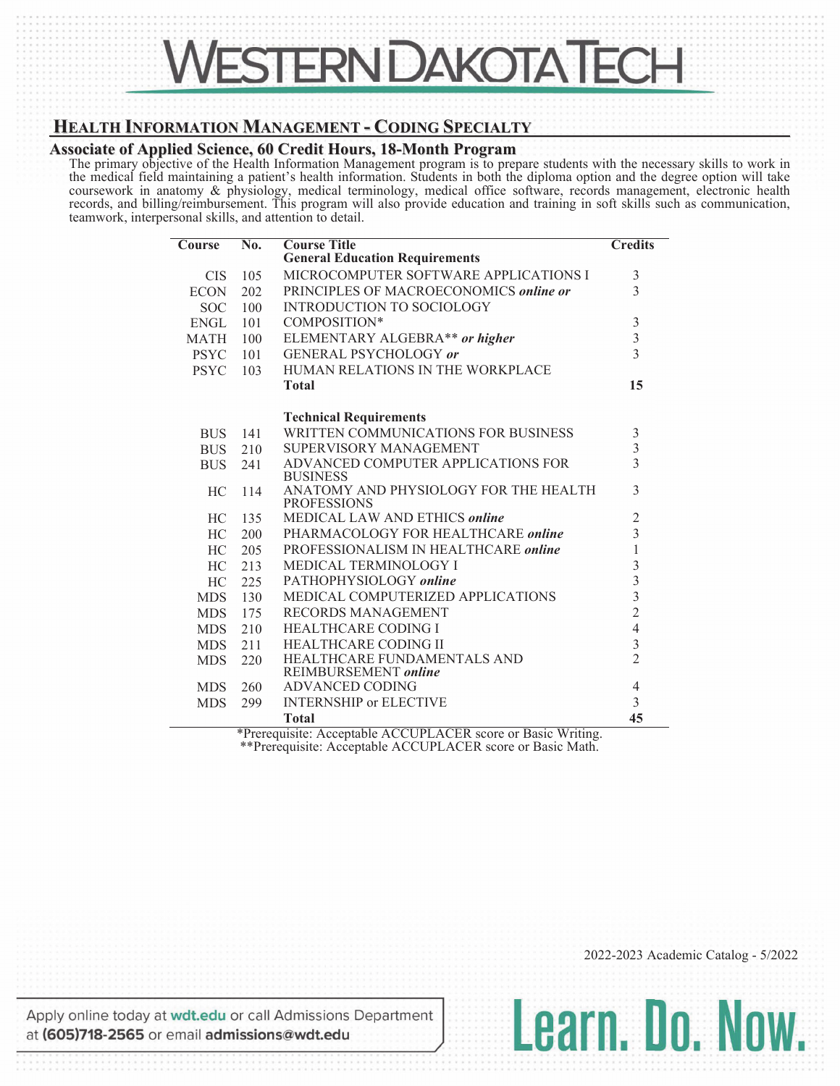## **HEALTH INFORMATION MANAGEMENT - CODING SPECIALTY**

## **Associate of Applied Science, 60 Credit Hours, 18-Month Program**

The primary objective of the Health Information Management program is to prepare students with the necessary skills to work in the medical field maintaining a patient's health information. Students in both the diploma option and the degree option will take coursework in anatomy & physiology, medical terminology, medical office software, records management, electronic health records, and billing/reimbursement. This program will also provide education and training in soft skills such as communication, teamwork, interpersonal skills, and attention to detail.

| <b>CIS</b>  | 105 | <b>General Education Requirements</b>                                                                               |                                            |
|-------------|-----|---------------------------------------------------------------------------------------------------------------------|--------------------------------------------|
|             |     |                                                                                                                     |                                            |
|             |     | MICROCOMPUTER SOFTWARE APPLICATIONS I                                                                               | $\mathfrak{Z}$                             |
| <b>ECON</b> | 202 | PRINCIPLES OF MACROECONOMICS online or                                                                              | 3                                          |
| <b>SOC</b>  | 100 | <b>INTRODUCTION TO SOCIOLOGY</b>                                                                                    |                                            |
| <b>ENGL</b> | 101 | COMPOSITION*                                                                                                        | $\sqrt{3}$                                 |
| <b>MATH</b> | 100 | ELEMENTARY ALGEBRA <sup>**</sup> or higher                                                                          | $\frac{3}{3}$                              |
| <b>PSYC</b> | 101 | GENERAL PSYCHOLOGY or                                                                                               |                                            |
| <b>PSYC</b> | 103 | HUMAN RELATIONS IN THE WORKPLACE                                                                                    |                                            |
|             |     | <b>Total</b>                                                                                                        | 15                                         |
|             |     | <b>Technical Requirements</b>                                                                                       |                                            |
| <b>BUS</b>  | 141 | WRITTEN COMMUNICATIONS FOR BUSINESS                                                                                 |                                            |
| <b>BUS</b>  | 210 | SUPERVISORY MANAGEMENT                                                                                              | $\frac{3}{3}$                              |
| <b>BUS</b>  | 241 | ADVANCED COMPUTER APPLICATIONS FOR                                                                                  | $\overline{3}$                             |
|             |     | <b>BUSINESS</b>                                                                                                     |                                            |
| HC          | 114 | ANATOMY AND PHYSIOLOGY FOR THE HEALTH<br><b>PROFESSIONS</b>                                                         | 3                                          |
| HC.         | 135 | MEDICAL LAW AND ETHICS online                                                                                       | $\sqrt{2}$                                 |
| HC.         | 200 | PHARMACOLOGY FOR HEALTHCARE online                                                                                  | $\overline{3}$                             |
| <b>HC</b>   | 205 | PROFESSIONALISM IN HEALTHCARE online                                                                                | $\mathbf{1}$                               |
| HC          | 213 | <b>MEDICAL TERMINOLOGY I</b>                                                                                        |                                            |
| HC.         | 225 | PATHOPHYSIOLOGY online                                                                                              | $\begin{array}{c} 3 \\ 3 \\ 2 \end{array}$ |
| <b>MDS</b>  | 130 | MEDICAL COMPUTERIZED APPLICATIONS                                                                                   |                                            |
| <b>MDS</b>  | 175 | <b>RECORDS MANAGEMENT</b>                                                                                           |                                            |
| <b>MDS</b>  | 210 | <b>HEALTHCARE CODING I</b>                                                                                          | $\overline{4}$                             |
| <b>MDS</b>  | 211 | <b>HEALTHCARE CODING II</b>                                                                                         | $\frac{3}{2}$                              |
| <b>MDS</b>  | 220 | HEALTHCARE FUNDAMENTALS AND                                                                                         |                                            |
|             |     | REIMBURSEMENT online                                                                                                |                                            |
| <b>MDS</b>  | 260 | <b>ADVANCED CODING</b>                                                                                              | $\overline{4}$                             |
| <b>MDS</b>  | 299 | <b>INTERNSHIP or ELECTIVE</b>                                                                                       | $\overline{3}$                             |
|             |     | <b>Total</b><br>* $R_{\text{precauizite}}$ $\Lambda$ coantable $\Lambda$ CCUPI $\Lambda$ CED score or Basic Writing | 45                                         |

Prerequisite: Acceptable ACCUPLACER score or Basic Writing. \*\*Prerequisite: Acceptable ACCUPLACER score or Basic Math.

2022-2023 Academic Catalog - 5/2022

Learn. Do. Now.

Apply online today at wdt.edu or call Admissions Department at (605)718-2565 or email admissions@wdt.edu